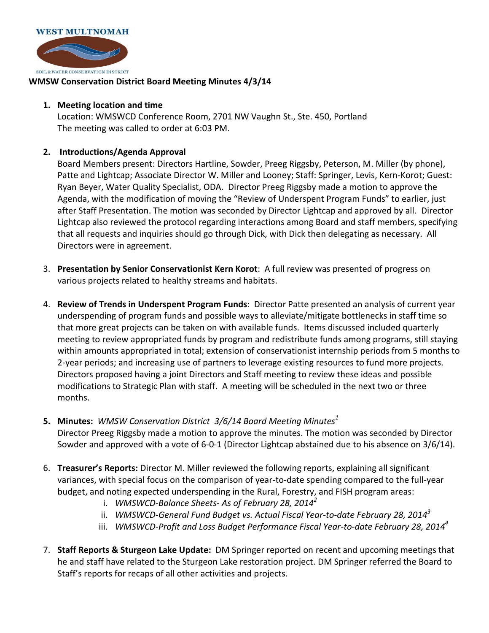

## **WMSW Conservation District Board Meeting Minutes 4/3/14**

## **1. Meeting location and time**

Location: WMSWCD Conference Room, 2701 NW Vaughn St., Ste. 450, Portland The meeting was called to order at 6:03 PM.

## **2. Introductions/Agenda Approval**

Board Members present: Directors Hartline, Sowder, Preeg Riggsby, Peterson, M. Miller (by phone), Patte and Lightcap; Associate Director W. Miller and Looney; Staff: Springer, Levis, Kern-Korot; Guest: Ryan Beyer, Water Quality Specialist, ODA. Director Preeg Riggsby made a motion to approve the Agenda, with the modification of moving the "Review of Underspent Program Funds" to earlier, just after Staff Presentation. The motion was seconded by Director Lightcap and approved by all. Director Lightcap also reviewed the protocol regarding interactions among Board and staff members, specifying that all requests and inquiries should go through Dick, with Dick then delegating as necessary. All Directors were in agreement.

- 3. **Presentation by Senior Conservationist Kern Korot**: A full review was presented of progress on various projects related to healthy streams and habitats.
- 4. **Review of Trends in Underspent Program Funds**: Director Patte presented an analysis of current year underspending of program funds and possible ways to alleviate/mitigate bottlenecks in staff time so that more great projects can be taken on with available funds. Items discussed included quarterly meeting to review appropriated funds by program and redistribute funds among programs, still staying within amounts appropriated in total; extension of conservationist internship periods from 5 months to 2-year periods; and increasing use of partners to leverage existing resources to fund more projects. Directors proposed having a joint Directors and Staff meeting to review these ideas and possible modifications to Strategic Plan with staff. A meeting will be scheduled in the next two or three months.
- **5. Minutes:** *WMSW Conservation District 3/6/14 Board Meeting Minutes<sup>1</sup>* Director Preeg Riggsby made a motion to approve the minutes. The motion was seconded by Director Sowder and approved with a vote of 6-0-1 (Director Lightcap abstained due to his absence on 3/6/14).
- 6. **Treasurer's Reports:** Director M. Miller reviewed the following reports, explaining all significant variances, with special focus on the comparison of year-to-date spending compared to the full-year budget, and noting expected underspending in the Rural, Forestry, and FISH program areas:
	- i. *WMSWCD-Balance Sheets- As of February 28, 2014<sup>2</sup>*
	- ii. *WMSWCD-General Fund Budget vs. Actual Fiscal Year-to-date February 28, 2014<sup>3</sup>*
	- iii. *WMSWCD-Profit and Loss Budget Performance Fiscal Year-to-date February 28, 2014<sup>4</sup>*
- 7. **Staff Reports & Sturgeon Lake Update:** DM Springer reported on recent and upcoming meetings that he and staff have related to the Sturgeon Lake restoration project. DM Springer referred the Board to Staff's reports for recaps of all other activities and projects.